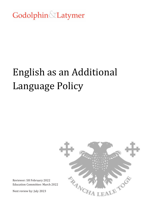## Godolphin Latymer

# English as an Additional Language Policy



Reviewer: SH February 2022 Education Committee: March 2022

Next review by: July 2023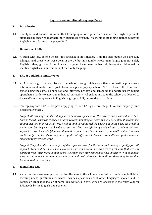#### **English as an Additional Language Policy**

#### **1. Introduction**

1.1. Godolphin and Latymer is committed to helping all our girls to achieve at their highest possible standards by ensuring that their individual needs are met. This includes those girls defined as having English as an additional language (EAL).

#### **2. Definition of EAL**

2.1. A pupil with EAL is one whose first language is not English. This includes pupils who are fully bilingual and those who were born in the UK but in a family whose main language is not solely English. Many girls at Godolphin and Latymer have been deliberately brought up bilingual, or identify English as their first but not their only language.

#### **3. EAL at Godolphin and Latymer**

- 3.1. At 11+ entry girls gain a place at the school through highly selective examination procedures, interviews and analysis of reports from their primary/prep school. At Sixth Form, all entrants are tested using the same examination and interview process and screening is undertaken by subject specialists in order to ascertain individual suitability. All girls admitted to the school are deemed to have sufficient competence in English language to fully access the curriculum.
- 3.2. The appropriate QCA descriptors applying to our EAL girls are stage 4 for the majority, and occasionally stage 3.

*Stage 3: At this stage pupils will appear to be native speakers on the surface and most will have been born in the UK. They will speak on a par with their monolingual peers and will be confident in their oral communication in most situations. Reading and decoding will be easier and most basic texts will be understood but they may not be able to scan and skim texts efficiently and with ease. Students will need support to read for underlying meaning and to understand texts in which grammatical structures are particularly complex. There may be a significant difference between a student's oral performance in class and their written work.*

*Stage 4: Stage 4 students are very confident speakers who for the most part no longer qualify for EAL support. They will be independent learners and will usually not experience problems that are any different from their monolingual peers. However they may sometimes have difficulty with colloquial phrases and nuance and may not understand cultural references. In addition there may be residual issues in their written work.*

#### **4. Identifying EAL**

4.1. As part of the enrolment process all families new to the school are asked to complete an individual learning needs questionnaire, which includes questions about other languages spoken and, in particular, languages spoken at home. In addition, all Year 7 girls are observed in their first year for EAL needs by the English Department.